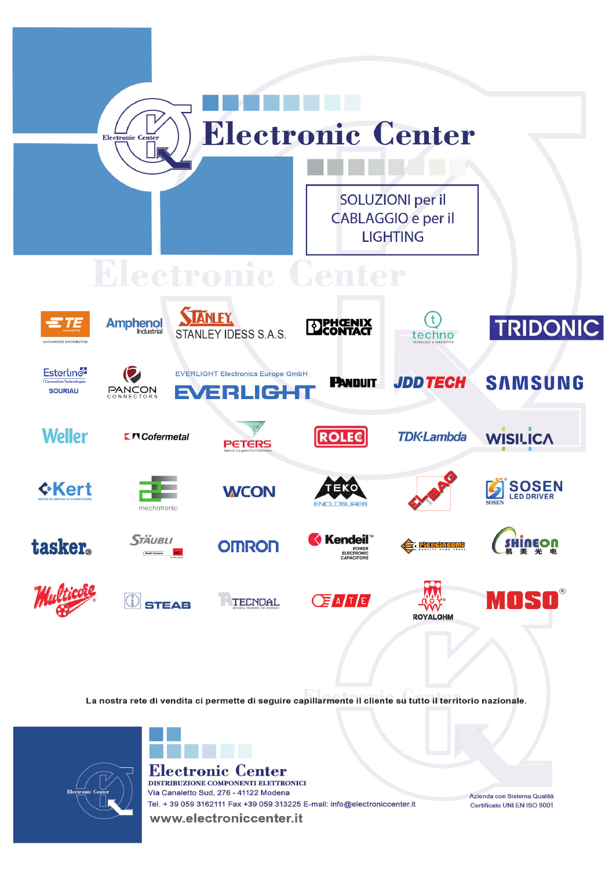

tenter etronic ( DISTRIBUZIONE COMPONENTI ELETTRONICI Via Canaletto Sud, 276 - 41122 Modena Tel. + 39 059 3162111 Fax +39 059 313225 E-mail: info@electroniccenter.it

Azienda con Sistema Qualità Certificato UNI EN ISO 9001

www.electroniccenter.it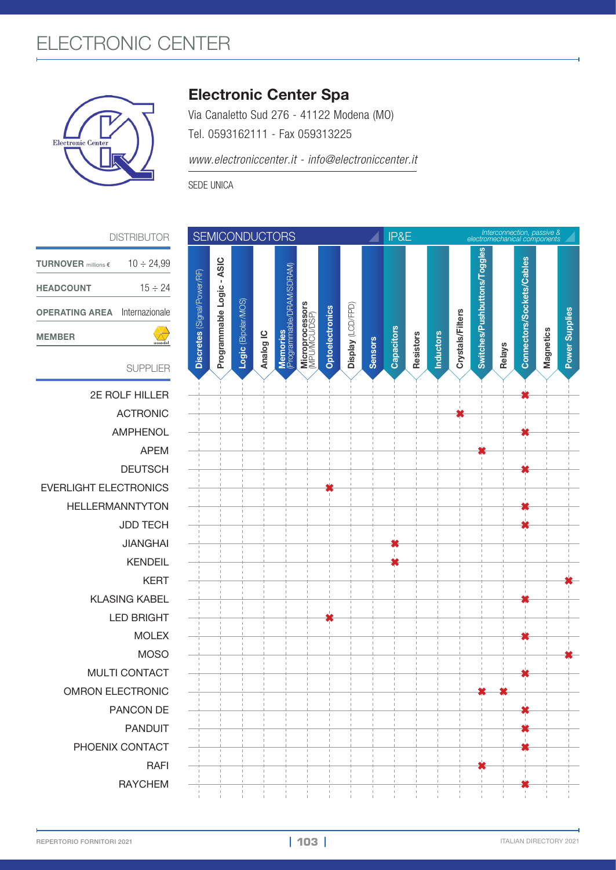## ELECTRONIC CENTER



## Electronic Center Spa

Via Canaletto Sud 276 - 41122 Modena (MO) Tel. 0593162111 - Fax 059313225

*www.electroniccenter.it - info@electroniccenter.it*

SEDE UNICA

| <b>DISTRIBUTOR</b>                     |                             | <b>SEMICONDUCTORS</b>     |                     |           |                                       |                                  |                 |                   | IP&E           |  |            |                  | Interconnection, passive &<br>electromechanical components |                  |                              |        |                           |           |                       |
|----------------------------------------|-----------------------------|---------------------------|---------------------|-----------|---------------------------------------|----------------------------------|-----------------|-------------------|----------------|--|------------|------------------|------------------------------------------------------------|------------------|------------------------------|--------|---------------------------|-----------|-----------------------|
| $10 \div 24,99$<br>millions $\epsilon$ |                             |                           |                     |           |                                       |                                  |                 |                   |                |  |            |                  |                                                            |                  | Switches/Pushbuttons/Toggles |        |                           |           |                       |
| $15 \div 24$<br>T                      |                             |                           |                     |           |                                       |                                  |                 |                   |                |  |            |                  |                                                            |                  |                              |        |                           |           |                       |
| Internazionale<br><b>AREA</b>          |                             |                           |                     |           |                                       |                                  |                 |                   |                |  |            |                  |                                                            |                  |                              |        |                           |           |                       |
| $\sum_{\text{associated}}$             | Discretes (Signal/Power/RF) | Programmable Logic - ASIC | Logic (Bipolar/MOS) |           |                                       | Microprocessors<br>(MPU/MCU/DSP) | Optoelectronics | Display (LCD/FPD) |                |  |            |                  |                                                            | Crystals/Filters |                              |        | Connectors/Sockets/Cables |           | <b>Power Supplies</b> |
| <b>SUPPLIER</b>                        |                             |                           |                     | Analog IC | Memories<br>(Programmable/DRAM/SDRAM) |                                  |                 |                   | <b>Sensors</b> |  | Capacitors | <b>Resistors</b> | <b>Inductors</b>                                           |                  |                              | Relays |                           | Magnetics |                       |
| 2E ROLF HILLER                         |                             |                           |                     |           |                                       |                                  |                 |                   |                |  |            |                  |                                                            |                  |                              |        |                           |           |                       |
| <b>ACTRONIC</b>                        |                             |                           |                     |           |                                       |                                  |                 |                   |                |  |            |                  |                                                            |                  |                              |        |                           |           |                       |
| AMPHENOL                               |                             |                           |                     |           |                                       |                                  |                 |                   |                |  |            |                  |                                                            |                  |                              |        |                           |           |                       |
| <b>APEM</b>                            |                             |                           |                     |           |                                       |                                  |                 |                   |                |  |            |                  |                                                            |                  |                              |        |                           |           |                       |
| <b>DEUTSCH</b>                         |                             |                           |                     |           |                                       |                                  |                 |                   |                |  |            |                  |                                                            |                  |                              |        |                           |           |                       |
| <b>IT ELECTRONICS</b>                  |                             |                           |                     |           |                                       |                                  |                 |                   |                |  |            |                  |                                                            |                  |                              |        |                           |           |                       |
| LERMANNTYTON                           |                             |                           |                     |           |                                       |                                  |                 |                   |                |  |            |                  |                                                            |                  |                              |        |                           |           |                       |
| <b>JDD TECH</b>                        |                             |                           |                     |           |                                       |                                  |                 |                   |                |  |            |                  |                                                            |                  |                              |        |                           |           |                       |
| <b>JIANGHAI</b>                        |                             |                           |                     |           |                                       |                                  |                 |                   |                |  |            |                  |                                                            |                  |                              |        |                           |           |                       |
| <b>KENDEIL</b>                         |                             |                           |                     |           |                                       |                                  |                 |                   |                |  |            |                  |                                                            |                  |                              |        |                           |           |                       |
| <b>KERT</b>                            |                             |                           |                     |           |                                       |                                  |                 |                   |                |  |            |                  |                                                            |                  |                              |        |                           |           |                       |
| <b>KLASING KABEL</b>                   |                             |                           |                     |           |                                       |                                  |                 |                   |                |  |            |                  |                                                            |                  |                              |        |                           |           |                       |
| <b>LED BRIGHT</b>                      |                             |                           |                     |           |                                       |                                  |                 |                   |                |  |            |                  |                                                            |                  |                              |        |                           |           |                       |
| <b>MOLEX</b>                           |                             |                           |                     |           |                                       |                                  |                 |                   |                |  |            |                  |                                                            |                  |                              |        |                           |           |                       |
| <b>MOSO</b>                            |                             |                           |                     |           |                                       |                                  |                 |                   |                |  |            |                  |                                                            |                  |                              |        |                           |           |                       |
| MULTI CONTACT                          |                             |                           |                     |           |                                       |                                  |                 |                   |                |  |            |                  |                                                            |                  |                              |        |                           |           |                       |
| ON ELECTRONIC                          |                             |                           |                     |           |                                       |                                  |                 |                   |                |  |            |                  |                                                            |                  |                              |        |                           |           |                       |
| PANCON DE                              |                             |                           |                     |           |                                       |                                  |                 |                   |                |  |            |                  |                                                            |                  |                              |        |                           |           |                       |
| <b>PANDUIT</b>                         |                             |                           |                     |           |                                       |                                  |                 |                   |                |  |            |                  |                                                            |                  |                              |        |                           |           |                       |
| <b>OENIX CONTACT</b>                   |                             |                           |                     |           |                                       |                                  |                 |                   |                |  |            |                  |                                                            |                  |                              |        |                           |           |                       |
| <b>RAFI</b>                            |                             |                           |                     |           |                                       |                                  |                 |                   |                |  |            |                  |                                                            |                  |                              |        |                           |           |                       |
| <b>RAYCHEM</b>                         |                             |                           |                     |           |                                       |                                  |                 |                   |                |  |            |                  |                                                            |                  |                              |        |                           |           |                       |
|                                        |                             |                           |                     |           |                                       |                                  |                 |                   |                |  |            |                  |                                                            |                  |                              |        |                           |           |                       |

| <b>TURNOVER</b> millions $\epsilon$  | $10 \div 24.99$ |
|--------------------------------------|-----------------|
| <b>HEADCOUNT</b>                     | $15 \div 24$    |
| <b>OPERATING AREA</b> Internazionale |                 |
| <b>MEMBER</b>                        |                 |

**EVERLIGHT ELECTRON HELLERMANNTYT LED BRIG** OMRON ELECTRO **PHOENIX CONTA**